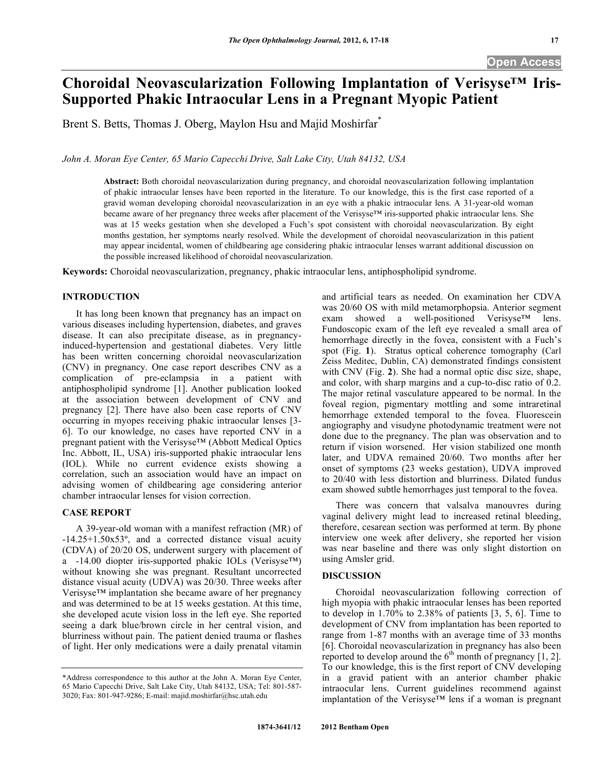# **Choroidal Neovascularization Following Implantation of Verisyse™ Iris-Supported Phakic Intraocular Lens in a Pregnant Myopic Patient**

Brent S. Betts, Thomas J. Oberg, Maylon Hsu and Majid Moshirfar<sup>\*</sup>

*John A. Moran Eye Center, 65 Mario Capecchi Drive, Salt Lake City, Utah 84132, USA* 

**Abstract:** Both choroidal neovascularization during pregnancy, and choroidal neovascularization following implantation of phakic intraocular lenses have been reported in the literature. To our knowledge, this is the first case reported of a gravid woman developing choroidal neovascularization in an eye with a phakic intraocular lens. A 31-year-old woman became aware of her pregnancy three weeks after placement of the Verisyse™ iris-supported phakic intraocular lens. She was at 15 weeks gestation when she developed a Fuch's spot consistent with choroidal neovascularization. By eight months gestation, her symptoms nearly resolved. While the development of choroidal neovascularization in this patient may appear incidental, women of childbearing age considering phakic intraocular lenses warrant additional discussion on the possible increased likelihood of choroidal neovascularization.

**Keywords:** Choroidal neovascularization, pregnancy, phakic intraocular lens, antiphospholipid syndrome.

## **INTRODUCTION**

 It has long been known that pregnancy has an impact on various diseases including hypertension, diabetes, and graves disease. It can also precipitate disease, as in pregnancyinduced-hypertension and gestational diabetes. Very little has been written concerning choroidal neovascularization (CNV) in pregnancy. One case report describes CNV as a complication of pre-eclampsia in a patient with antiphospholipid syndrome [1]. Another publication looked at the association between development of CNV and pregnancy [2]. There have also been case reports of CNV occurring in myopes receiving phakic intraocular lenses [3- 6]. To our knowledge, no cases have reported CNV in a pregnant patient with the Verisyse™ (Abbott Medical Optics Inc. Abbott, IL, USA) iris-supported phakic intraocular lens (IOL). While no current evidence exists showing a correlation, such an association would have an impact on advising women of childbearing age considering anterior chamber intraocular lenses for vision correction.

#### **CASE REPORT**

 A 39-year-old woman with a manifest refraction (MR) of -14.25+1.50x53º, and a corrected distance visual acuity (CDVA) of 20/20 OS, underwent surgery with placement of a -14.00 diopter iris-supported phakic IOLs (Verisyse™) without knowing she was pregnant. Resultant uncorrected distance visual acuity (UDVA) was 20/30. Three weeks after Verisyse™ implantation she became aware of her pregnancy and was determined to be at 15 weeks gestation. At this time, she developed acute vision loss in the left eye. She reported seeing a dark blue/brown circle in her central vision, and blurriness without pain. The patient denied trauma or flashes of light. Her only medications were a daily prenatal vitamin and artificial tears as needed. On examination her CDVA was 20/60 OS with mild metamorphopsia. Anterior segment exam showed a well-positioned Verisyse™ lens. Fundoscopic exam of the left eye revealed a small area of hemorrhage directly in the fovea, consistent with a Fuch's spot (Fig. **1**). Stratus optical coherence tomography (Carl Zeiss Meditec, Dublin, CA) demonstrated findings consistent with CNV (Fig. **2**). She had a normal optic disc size, shape, and color, with sharp margins and a cup-to-disc ratio of 0.2. The major retinal vasculature appeared to be normal. In the foveal region, pigmentary mottling and some intraretinal hemorrhage extended temporal to the fovea. Fluorescein angiography and visudyne photodynamic treatment were not done due to the pregnancy. The plan was observation and to return if vision worsened. Her vision stabilized one month later, and UDVA remained 20/60. Two months after her onset of symptoms (23 weeks gestation), UDVA improved to 20/40 with less distortion and blurriness. Dilated fundus exam showed subtle hemorrhages just temporal to the fovea.

 There was concern that valsalva manouvres during vaginal delivery might lead to increased retinal bleeding, therefore, cesarean section was performed at term. By phone interview one week after delivery, she reported her vision was near baseline and there was only slight distortion on using Amsler grid.

### **DISCUSSION**

 Choroidal neovascularization following correction of high myopia with phakic intraocular lenses has been reported to develop in 1.70% to 2.38% of patients [3, 5, 6]. Time to development of CNV from implantation has been reported to range from 1-87 months with an average time of 33 months [6]. Choroidal neovascularization in pregnancy has also been reported to develop around the  $6<sup>th</sup>$  month of pregnancy [1, 2]. To our knowledge, this is the first report of CNV developing in a gravid patient with an anterior chamber phakic intraocular lens. Current guidelines recommend against implantation of the Verisyse™ lens if a woman is pregnant

<sup>\*</sup>Address correspondence to this author at the John A. Moran Eye Center, 65 Mario Capecchi Drive, Salt Lake City, Utah 84132, USA; Tel: 801-587- 3020; Fax: 801-947-9286; E-mail: majid.moshirfar@hsc.utah.edu